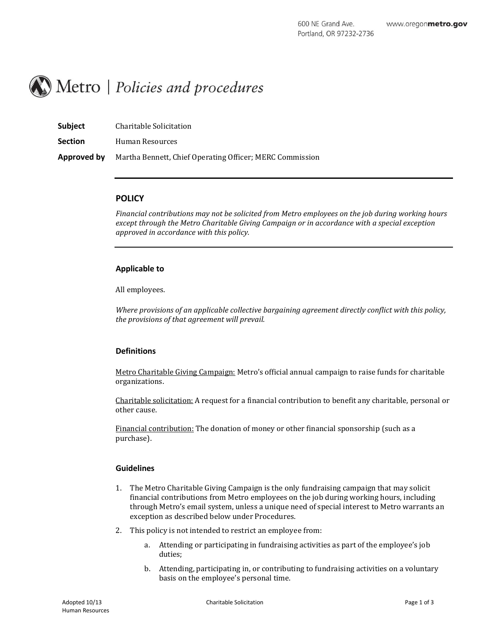

| <b>Subject</b> | Charitable Solicitation                                  |
|----------------|----------------------------------------------------------|
| <b>Section</b> | Human Resources                                          |
| Approved by    | Martha Bennett, Chief Operating Officer; MERC Commission |

## **POLICY**

*Financial contributions may not be solicited from Metro employees on the job during working hours except through the Metro Charitable Giving Campaign or in accordance with a special exception approved in accordance with this policy.*

### **Applicable to**

All employees.

*Where provisions of an applicable collective bargaining agreement directly conflict with this policy, the provisions of that agreement will prevail.*

### **Definitions**

Metro Charitable Giving Campaign: Metro's official annual campaign to raise funds for charitable organizations.

Charitable solicitation: A request for a financial contribution to benefit any charitable, personal or other cause.

Financial contribution: The donation of money or other financial sponsorship (such as a purchase).

### **Guidelines**

- 1. The Metro Charitable Giving Campaign is the only fundraising campaign that may solicit financial contributions from Metro employees on the job during working hours, including through Metro's email system, unless a unique need of special interest to Metro warrants an exception as described below under Procedures.
- 2. This policy is not intended to restrict an employee from:
	- a. Attending or participating in fundraising activities as part of the employee's job duties;
	- b. Attending, participating in, or contributing to fundraising activities on a voluntary basis on the employee's personal time.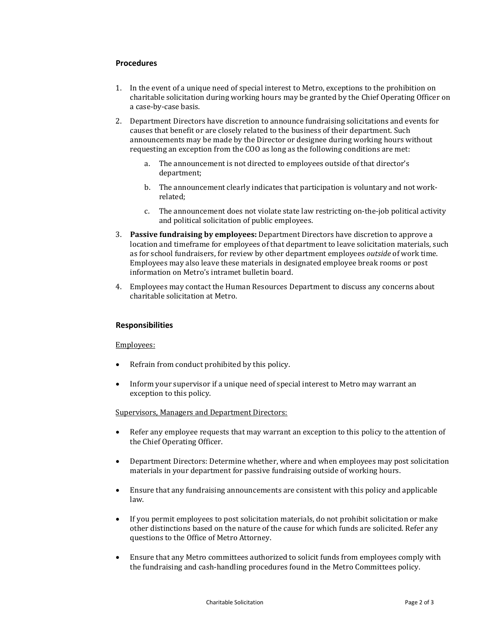### **Procedures**

- 1. In the event of a unique need of special interest to Metro, exceptions to the prohibition on charitable solicitation during working hours may be granted by the Chief Operating Officer on a case-by-case basis.
- 2. Department Directors have discretion to announce fundraising solicitations and events for causes that benefit or are closely related to the business of their department. Such announcements may be made by the Director or designee during working hours without requesting an exception from the COO as long as the following conditions are met:
	- a. The announcement is not directed to employees outside of that director's department;
	- b. The announcement clearly indicates that participation is voluntary and not workrelated;
	- c. The announcement does not violate state law restricting on-the-job political activity and political solicitation of public employees.
- 3. **Passive fundraising by employees:** Department Directors have discretion to approve a location and timeframe for employees of that department to leave solicitation materials, such as for school fundraisers, for review by other department employees *outside* of work time. Employees may also leave these materials in designated employee break rooms or post information on Metro's intramet bulletin board.
- 4. Employees may contact the Human Resources Department to discuss any concerns about charitable solicitation at Metro.

### **Responsibilities**

### Employees:

- Refrain from conduct prohibited by this policy.
- Inform your supervisor if a unique need of special interest to Metro may warrant an exception to this policy.

#### Supervisors, Managers and Department Directors:

- Refer any employee requests that may warrant an exception to this policy to the attention of the Chief Operating Officer.
- Department Directors: Determine whether, where and when employees may post solicitation materials in your department for passive fundraising outside of working hours.
- Ensure that any fundraising announcements are consistent with this policy and applicable law.
- If you permit employees to post solicitation materials, do not prohibit solicitation or make other distinctions based on the nature of the cause for which funds are solicited. Refer any questions to the Office of Metro Attorney.
- Ensure that any Metro committees authorized to solicit funds from employees comply with the fundraising and cash-handling procedures found in the Metro Committees policy.